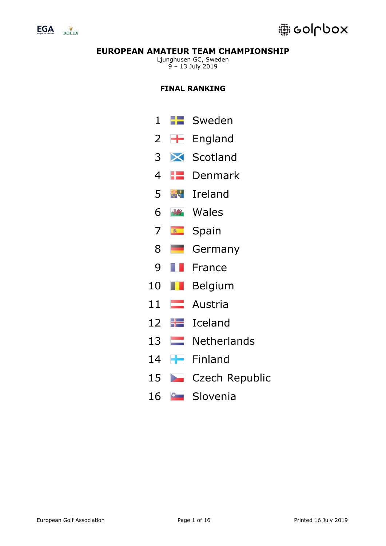



# @ Golpbox

## **EUROPEAN AMATEUR TEAM CHAMPIONSHIP**

Ljunghusen GC, Sweden 9 – 13 July 2019

## **FINAL RANKING**

- 1 **F** Sweden
- $2 +$  England
- 3 Scotland
- 4 Denmark
- 5 Ireland
- 6 Wales
- 7 **Spain**
- 8 Germany
- 9 **France**
- 10 **Belgium**
- 11 **Austria**
- 12 **H** Iceland
- 13 Netherlands
- 14 Finland
- 15 Czech Republic
- 16 **C** Slovenia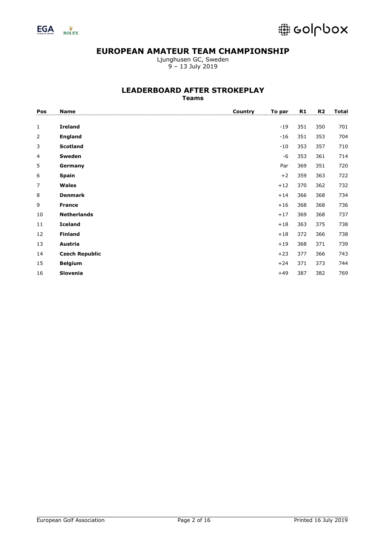

Ljunghusen GC, Sweden – 13 July 2019

#### **LEADERBOARD AFTER STROKEPLAY Teams**

| Pos | <b>Name</b>           | Country | To par | R1  | R <sub>2</sub> | <b>Total</b> |
|-----|-----------------------|---------|--------|-----|----------------|--------------|
|     |                       |         |        |     |                |              |
| 1   | <b>Ireland</b>        |         | $-19$  | 351 | 350            | 701          |
| 2   | <b>England</b>        |         | $-16$  | 351 | 353            | 704          |
| 3   | <b>Scotland</b>       |         | $-10$  | 353 | 357            | 710          |
| 4   | Sweden                |         | $-6$   | 353 | 361            | 714          |
| 5   | Germany               |         | Par    | 369 | 351            | 720          |
| 6   | <b>Spain</b>          |         | $+2$   | 359 | 363            | 722          |
| 7   | <b>Wales</b>          |         | $+12$  | 370 | 362            | 732          |
| 8   | <b>Denmark</b>        |         | $+14$  | 366 | 368            | 734          |
| 9   | <b>France</b>         |         | $+16$  | 368 | 368            | 736          |
| 10  | <b>Netherlands</b>    |         | $+17$  | 369 | 368            | 737          |
| 11  | <b>Iceland</b>        |         | $+18$  | 363 | 375            | 738          |
| 12  | <b>Finland</b>        |         | $+18$  | 372 | 366            | 738          |
| 13  | Austria               |         | $+19$  | 368 | 371            | 739          |
| 14  | <b>Czech Republic</b> |         | $+23$  | 377 | 366            | 743          |
| 15  | <b>Belgium</b>        |         | $+24$  | 371 | 373            | 744          |
| 16  | Slovenia              |         | $+49$  | 387 | 382            | 769          |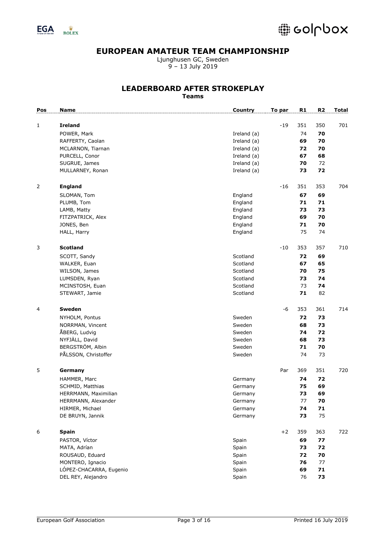

Ljunghusen GC, Sweden 9 – 13 July 2019

**LEADERBOARD AFTER STROKEPLAY**

**Teams**

| Pos            | Name                    | Country     | To par | R1  | R <sub>2</sub> | <b>Total</b> |
|----------------|-------------------------|-------------|--------|-----|----------------|--------------|
|                |                         |             |        |     |                |              |
| $\mathbf{1}$   | <b>Ireland</b>          |             | $-19$  | 351 | 350            | 701          |
|                | POWER, Mark             | Ireland (a) |        | 74  | 70             |              |
|                | RAFFERTY, Caolan        | Ireland (a) |        | 69  | 70             |              |
|                | MCLARNON, Tiarnan       | Ireland (a) |        | 72  | 70             |              |
|                | PURCELL, Conor          | Ireland (a) |        | 67  | 68             |              |
|                | SUGRUE, James           | Ireland (a) |        | 70  | 72             |              |
|                | MULLARNEY, Ronan        | Ireland (a) |        | 73  | 72             |              |
|                |                         |             |        |     |                |              |
| $\overline{2}$ | <b>England</b>          |             | $-16$  | 351 | 353            | 704          |
|                | SLOMAN, Tom             | England     |        | 67  | 69             |              |
|                | PLUMB, Tom              | England     |        | 71  | 71             |              |
|                | LAMB, Matty             | England     |        | 73  | 73             |              |
|                | FITZPATRICK, Alex       | England     |        | 69  | 70             |              |
|                | JONES, Ben              | England     |        | 71  | 70             |              |
|                | HALL, Harry             | England     |        | 75  | 74             |              |
|                |                         |             |        |     |                |              |
| 3              | <b>Scotland</b>         |             | $-10$  | 353 | 357            | 710          |
|                | SCOTT, Sandy            | Scotland    |        | 72  | 69             |              |
|                | WALKER, Euan            | Scotland    |        | 67  | 65             |              |
|                | WILSON, James           | Scotland    |        | 70  | 75             |              |
|                | LUMSDEN, Ryan           | Scotland    |        | 73  | 74             |              |
|                | MCINSTOSH, Euan         | Scotland    |        | 73  | 74             |              |
|                | STEWART, Jamie          | Scotland    |        | 71  | 82             |              |
|                |                         |             |        |     |                |              |
| 4              | Sweden                  |             | $-6$   | 353 | 361            | 714          |
|                | NYHOLM, Pontus          | Sweden      |        | 72  | 73             |              |
|                | NORRMAN, Vincent        | Sweden      |        | 68  | 73             |              |
|                | ÅBERG, Ludvig           | Sweden      |        | 74  | 72             |              |
|                | NYFJÄLL, David          | Sweden      |        | 68  | 73             |              |
|                | BERGSTRÖM, Albin        |             |        | 71  |                |              |
|                |                         | Sweden      |        |     | 70             |              |
|                | PÅLSSON, Christoffer    | Sweden      |        | 74  | 73             |              |
| 5              | Germany                 |             | Par    | 369 | 351            | 720          |
|                | HAMMER, Marc            | Germany     |        | 74  | 72             |              |
|                |                         |             |        | 75  | 69             |              |
|                | SCHMID, Matthias        | Germany     |        | 73  | 69             |              |
|                | HERRMANN, Maximilian    | Germany     |        | 77  | 70             |              |
|                | HERRMANN, Alexander     | Germany     |        |     |                |              |
|                | HIRMER, Michael         | Germany     |        | 74  | 71             |              |
|                | DE BRUYN, Jannik        | Germany     |        | 73  | 75             |              |
| 6              | <b>Spain</b>            |             | $+2$   | 359 | 363            | 722          |
|                |                         |             |        |     |                |              |
|                | PASTOR, Víctor          | Spain       |        | 69  | 77             |              |
|                | MATA, Adrían            | Spain       |        | 73  | 72             |              |
|                | ROUSAUD, Eduard         | Spain       |        | 72  | 70             |              |
|                | MONTERO, Ignacio        | Spain       |        | 76  | $77$           |              |
|                | LÓPEZ-CHACARRA, Eugenio | Spain       |        | 69  | 71             |              |
|                | DEL REY, Alejandro      | Spain       |        | 76  | 73             |              |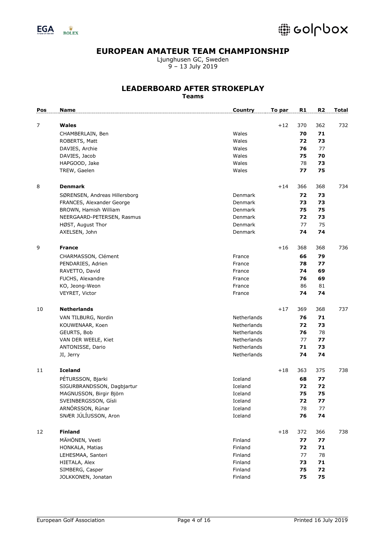

Ljunghusen GC, Sweden 9 – 13 July 2019

### **LEADERBOARD AFTER STROKEPLAY**

**Teams**

| Pos | <b>Name</b>                   | Country        | To par | R1  | R <sub>2</sub> | <b>Total</b> |
|-----|-------------------------------|----------------|--------|-----|----------------|--------------|
|     |                               |                |        |     |                |              |
| 7   | Wales                         |                | $+12$  | 370 | 362            | 732          |
|     | CHAMBERLAIN, Ben              | Wales          |        | 70  | 71             |              |
|     | ROBERTS, Matt                 | Wales          |        | 72  | 73             |              |
|     | DAVIES, Archie                | Wales          |        | 76  | 77             |              |
|     | DAVIES, Jacob                 | Wales          |        | 75  | 70             |              |
|     | HAPGOOD, Jake                 | Wales          |        | 78  | 73             |              |
|     | TREW, Gaelen                  | Wales          |        | 77  | 75             |              |
| 8   | <b>Denmark</b>                |                | $+14$  | 366 | 368            | 734          |
|     | SØRENSEN, Andreas Hillersborg | Denmark        |        | 72  | 73             |              |
|     | FRANCES, Alexander George     | Denmark        |        | 73  | 73             |              |
|     | BROWN, Hamish William         | <b>Denmark</b> |        | 75  | 75             |              |
|     | NEERGAARD-PETERSEN, Rasmus    | Denmark        |        | 72  | 73             |              |
|     | HØST, August Thor             | Denmark        |        | 77  | 75             |              |
|     | AXELSEN, John                 | Denmark        |        | 74  | 74             |              |
|     |                               |                |        |     |                |              |
| 9   | <b>France</b>                 |                | $+16$  | 368 | 368            | 736          |
|     | CHARMASSON, Clément           | France         |        | 66  | 79             |              |
|     | PENDARIES, Adrien             | France         |        | 78  | 77             |              |
|     | RAVETTO, David                | France         |        | 74  | 69             |              |
|     | FUCHS, Alexandre              | France         |        | 76  | 69             |              |
|     | KO, Jeong-Weon                | France         |        | 86  | 81             |              |
|     | VEYRET, Victor                | France         |        | 74  | 74             |              |
| 10  | <b>Netherlands</b>            |                | $+17$  | 369 | 368            | 737          |
|     | VAN TILBURG, Nordin           | Netherlands    |        | 76  | 71             |              |
|     | KOUWENAAR, Koen               | Netherlands    |        | 72  | 73             |              |
|     | GEURTS, Bob                   | Netherlands    |        | 76  | 78             |              |
|     | VAN DER WEELE, Kiet           | Netherlands    |        | 77  | 77             |              |
|     | ANTONISSE, Dario              | Netherlands    |        | 71  | 73             |              |
|     | JI, Jerry                     | Netherlands    |        | 74  | 74             |              |
|     |                               |                |        |     |                |              |
| 11  | <b>Iceland</b>                |                | $+18$  | 363 | 375            | 738          |
|     | PÉTURSSON, Bjarki             | Iceland        |        | 68  | 77             |              |
|     | SIGURBRANDSSON, Dagbjartur    | Iceland        |        | 72  | 72             |              |
|     | MAGNUSSON, Birgir Björn       | Iceland        |        | 75  | 75             |              |
|     | SVEINBERGSSON, Gísli          | Iceland        |        | 72  | 77             |              |
|     | ARNÓRSSON, Rúnar              | Iceland        |        | 78  | 77             |              |
|     | SNÆR JÚLÍUSSON, Aron          | Iceland        |        | 76  | 74             |              |
| 12  | <b>Finland</b>                |                | $+18$  | 372 | 366            | 738          |
|     |                               |                |        |     |                |              |
|     | MÄHÖNEN, Veeti                | Finland        |        | 77  | 77             |              |
|     | HONKALA, Matias               | Finland        |        | 72  | 71             |              |
|     | LEHESMAA, Santeri             | Finland        |        | 77  | 78             |              |
|     | HIETALA, Alex                 | Finland        |        | 73  | 71             |              |
|     | SIMBERG, Casper               | Finland        |        | 75  | 72             |              |
|     | JOLKKONEN, Jonatan            | Finland        |        | 75  | 75             |              |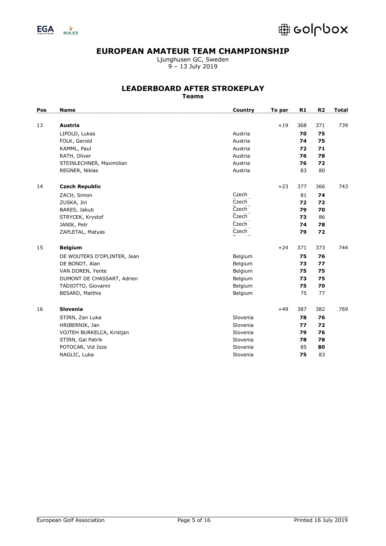

Ljunghusen GC, Sweden 9 – 13 July 2019

#### **LEADERBOARD AFTER STROKEPLAY**

**Teams**

| Pos | <b>Name</b>                 | Country  | To par | R1  | R <sub>2</sub> | <b>Total</b> |
|-----|-----------------------------|----------|--------|-----|----------------|--------------|
| 13  | Austria                     |          | $+19$  | 368 | 371            | 739          |
|     | LIPOLD, Lukas               | Austria  |        | 70  | 75             |              |
|     | FOLK, Gerold                | Austria  |        | 74  | 75             |              |
|     | KAMML, Paul                 | Austria  |        | 72  | 71             |              |
|     | RATH, Oliver                | Austria  |        | 76  | 78             |              |
|     | STEINLECHNER, Maximilian    | Austria  |        | 76  | 72             |              |
|     | REGNER, Niklas              | Austria  |        | 83  | 80             |              |
| 14  | <b>Czech Republic</b>       |          | $+23$  | 377 | 366            | 743          |
|     | ZACH, Simon                 | Czech    |        | 81  | 74             |              |
|     | ZUSKA, Jiri                 | Czech    |        | 72  | 72             |              |
|     | BARES, Jakub                | Czech    |        | 79  | 70             |              |
|     | STRYCEK, Krystof            | Czech    |        | 73  | 86             |              |
|     | JANIK, Petr                 | Czech    |        | 74  | 78             |              |
|     | ZAPLETAL, Matyas            | Czech    |        | 79  | 72             |              |
| 15  | <b>Belgium</b>              |          | $+24$  | 371 | 373            | 744          |
|     | DE WOUTERS D'OPLINTER, Jean | Belgium  |        | 75  | 76             |              |
|     | DE BONDT, Alan              | Belgium  |        | 73  | 77             |              |
|     | VAN DOREN, Yente            | Belgium  |        | 75  | 75             |              |
|     | DUMONT DE CHASSART, Adrien  | Belgium  |        | 73  | 75             |              |
|     | TADIOTTO, Giovanni          | Belgium  |        | 75  | 70             |              |
|     | BESARD, Matthis             | Belgium  |        | 75  | 77             |              |
| 16  | Slovenia                    |          | $+49$  | 387 | 382            | 769          |
|     | STIRN, Zan Luka             | Slovenia |        | 78  | 76             |              |
|     | HRIBERNIK, Jan              | Slovenia |        | 77  | 72             |              |
|     | VOJTEH BURKELCA, Kristjan   | Slovenia |        | 79  | 76             |              |
|     | STIRN, Gal Patrik           | Slovenia |        | 78  | 78             |              |
|     | POTOCAR, Vid Joze           | Slovenia |        | 85  | 80             |              |
|     | NAGLIC, Luka                | Slovenia |        | 75  | 83             |              |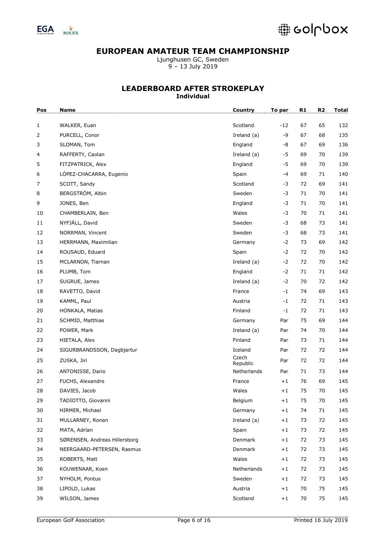

Ljunghusen GC, Sweden – 13 July 2019

#### **LEADERBOARD AFTER STROKEPLAY Individual**

| Pos | Name                          | Country           | To par | R <sub>1</sub> | R <sub>2</sub> | <b>Total</b> |
|-----|-------------------------------|-------------------|--------|----------------|----------------|--------------|
| 1   | WALKER, Euan                  | Scotland          | $-12$  | 67             | 65             | 132          |
| 2   | PURCELL, Conor                | Ireland (a)       | -9     | 67             | 68             | 135          |
| 3   | SLOMAN, Tom                   | England           | -8     | 67             | 69             | 136          |
| 4   | RAFFERTY, Caolan              | Ireland (a)       | $-5$   | 69             | 70             | 139          |
| 5   | FITZPATRICK, Alex             | England           | $-5$   | 69             | 70             | 139          |
| 6   | LÓPEZ-CHACARRA, Eugenio       | Spain             | -4     | 69             | 71             | 140          |
| 7   | SCOTT, Sandy                  | Scotland          | -3     | 72             | 69             | 141          |
| 8   | BERGSTRÖM, Albin              | Sweden            | -3     | 71             | 70             | 141          |
| 9   | JONES, Ben                    | England           | -3     | 71             | 70             | 141          |
| 10  | CHAMBERLAIN, Ben              | Wales             | -3     | 70             | 71             | 141          |
| 11  | NYFJÄLL, David                | Sweden            | -3     | 68             | 73             | 141          |
| 12  | NORRMAN, Vincent              | Sweden            | -3     | 68             | 73             | 141          |
| 13  | HERRMANN, Maximilian          | Germany           | $-2$   | 73             | 69             | 142          |
| 14  | ROUSAUD, Eduard               | Spain             | $-2$   | 72             | 70             | 142          |
| 15  | MCLARNON, Tiarnan             | Ireland (a)       | $-2$   | 72             | 70             | 142          |
| 16  | PLUMB, Tom                    | England           | $-2$   | 71             | 71             | 142          |
| 17  | SUGRUE, James                 | Ireland (a)       | $-2$   | 70             | 72             | 142          |
| 18  | RAVETTO, David                | France            | -1     | 74             | 69             | 143          |
| 19  | KAMML, Paul                   | Austria           | $-1$   | 72             | 71             | 143          |
| 20  | HONKALA, Matias               | Finland           | $-1$   | 72             | 71             | 143          |
| 21  | SCHMID, Matthias              | Germany           | Par    | 75             | 69             | 144          |
| 22  | POWER, Mark                   | Ireland (a)       | Par    | 74             | 70             | 144          |
| 23  | HIETALA, Alex                 | Finland           | Par    | 73             | 71             | 144          |
| 24  | SIGURBRANDSSON, Dagbjartur    | Iceland           | Par    | 72             | 72             | 144          |
| 25  | ZUSKA, Jiri                   | Czech<br>Republic | Par    | 72             | 72             | 144          |
| 26  | ANTONISSE, Dario              | Netherlands       | Par    | 71             | 73             | 144          |
| 27  | FUCHS, Alexandre              | France            | $+1$   | 76             | 69             | 145          |
| 28  | DAVIES, Jacob                 | Wales             | $+1$   | 75             | 70             | 145          |
| 29  | TADIOTTO, Giovanni            | Belgium           | $+1$   | 75             | $70\,$         | 145          |
| 30  | HIRMER, Michael               | Germany           | $+1$   | 74             | 71             | 145          |
| 31  | MULLARNEY, Ronan              | Ireland (a)       | $+1$   | 73             | 72             | 145          |
| 32  | MATA, Adrían                  | Spain             | $+1$   | 73             | 72             | 145          |
| 33  | SØRENSEN, Andreas Hillersborg | Denmark           | $+1$   | 72             | 73             | 145          |
| 34  | NEERGAARD-PETERSEN, Rasmus    | Denmark           | $+1$   | 72             | 73             | 145          |
| 35  | ROBERTS, Matt                 | Wales             | $+1$   | 72             | 73             | 145          |
| 36  | KOUWENAAR, Koen               | Netherlands       | $+1$   | 72             | 73             | 145          |
| 37  | NYHOLM, Pontus                | Sweden            | $+1$   | 72             | 73             | 145          |
| 38  | LIPOLD, Lukas                 | Austria           | $+1$   | 70             | 75             | 145          |
| 39  | WILSON, James                 | Scotland          | $+1$   | 70             | 75             | 145          |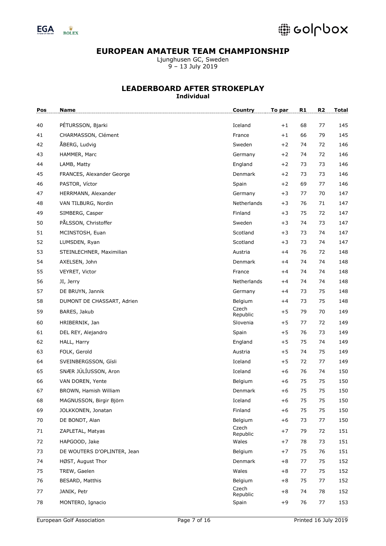

@ colpbox

## **EUROPEAN AMATEUR TEAM CHAMPIONSHIP**

Ljunghusen GC, Sweden – 13 July 2019

#### **LEADERBOARD AFTER STROKEPLAY Individual**

| Pos | Name                        | Country           | To par | R1 | R <sub>2</sub> | Total |
|-----|-----------------------------|-------------------|--------|----|----------------|-------|
| 40  | PÉTURSSON, Bjarki           | Iceland           | $+1$   | 68 | 77             | 145   |
| 41  | CHARMASSON, Clément         | France            | $+1$   | 66 | 79             | 145   |
| 42  | ÅBERG, Ludvig               | Sweden            | $+2$   | 74 | 72             | 146   |
| 43  | HAMMER, Marc                | Germany           | $+2$   | 74 | 72             | 146   |
| 44  | LAMB, Matty                 | England           | $+2$   | 73 | 73             | 146   |
| 45  | FRANCES, Alexander George   | Denmark           | $+2$   | 73 | 73             | 146   |
| 46  | PASTOR, Víctor              | Spain             | $+2$   | 69 | 77             | 146   |
| 47  | HERRMANN, Alexander         | Germany           | $+3$   | 77 | 70             | 147   |
| 48  | VAN TILBURG, Nordin         | Netherlands       | $+3$   | 76 | 71             | 147   |
| 49  | SIMBERG, Casper             | Finland           | $+3$   | 75 | 72             | 147   |
| 50  | PÅLSSON, Christoffer        | Sweden            | $+3$   | 74 | 73             | 147   |
| 51  | MCINSTOSH, Euan             | Scotland          | $+3$   | 73 | 74             | 147   |
| 52  | LUMSDEN, Ryan               | Scotland          | $+3$   | 73 | 74             | 147   |
| 53  | STEINLECHNER, Maximilian    | Austria           | $+4$   | 76 | 72             | 148   |
| 54  | AXELSEN, John               | Denmark           | $+4$   | 74 | 74             | 148   |
| 55  | VEYRET, Victor              | France            | $+4$   | 74 | 74             | 148   |
| 56  | JI, Jerry                   | Netherlands       | $+4$   | 74 | 74             | 148   |
| 57  | DE BRUYN, Jannik            | Germany           | $+4$   | 73 | 75             | 148   |
| 58  | DUMONT DE CHASSART, Adrien  | Belgium           | $+4$   | 73 | 75             | 148   |
| 59  | BARES, Jakub                | Czech<br>Republic | $+5$   | 79 | 70             | 149   |
| 60  | HRIBERNIK, Jan              | Slovenia          | $+5$   | 77 | 72             | 149   |
| 61  | DEL REY, Alejandro          | Spain             | $+5$   | 76 | 73             | 149   |
| 62  | HALL, Harry                 | England           | $+5$   | 75 | 74             | 149   |
| 63  | FOLK, Gerold                | Austria           | $+5$   | 74 | 75             | 149   |
| 64  | SVEINBERGSSON, Gísli        | Iceland           | $+5$   | 72 | 77             | 149   |
| 65  | SNÆR JÚLÍUSSON, Aron        | Iceland           | $+6$   | 76 | 74             | 150   |
| 66  | VAN DOREN, Yente            | Belgium           | $+6$   | 75 | 75             | 150   |
| 67  | BROWN, Hamish William       | Denmark           | $+6$   | 75 | 75             | 150   |
| 68  | MAGNUSSON, Birgir Björn     | Iceland           | $+6$   | 75 | 75             | 150   |
| 69  | JOLKKONEN, Jonatan          | Finland           | $+6$   | 75 | 75             | 150   |
| 70  | DE BONDT, Alan              | Belgium           | $+6$   | 73 | 77             | 150   |
| 71  | ZAPLETAL, Matyas            | Czech<br>Republic | $+7$   | 79 | 72             | 151   |
| 72  | HAPGOOD, Jake               | Wales             | $+7$   | 78 | 73             | 151   |
| 73  | DE WOUTERS D'OPLINTER, Jean | Belgium           | $+7$   | 75 | 76             | 151   |
| 74  | HØST, August Thor           | Denmark           | $+8$   | 77 | 75             | 152   |
| 75  | TREW, Gaelen                | Wales             | $+8$   | 77 | 75             | 152   |
| 76  | BESARD, Matthis             | Belgium           | $+8$   | 75 | 77             | 152   |
| 77  | JANIK, Petr                 | Czech<br>Republic | $+8$   | 74 | 78             | 152   |
| 78  | MONTERO, Ignacio            | Spain             | $+9$   | 76 | 77             | 153   |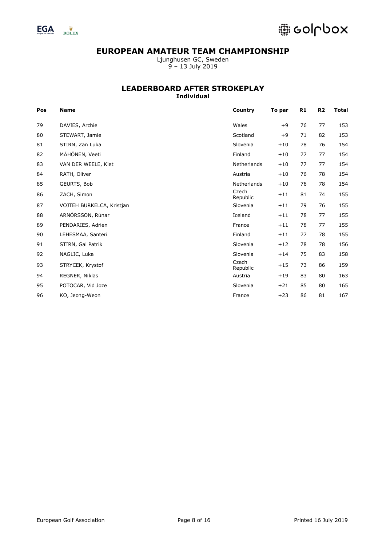

@ colpbox

## **EUROPEAN AMATEUR TEAM CHAMPIONSHIP**

Ljunghusen GC, Sweden – 13 July 2019

#### **LEADERBOARD AFTER STROKEPLAY Individual**

| Pos | <b>Name</b>               | Country           | To par | R1 | R <sub>2</sub> | <b>Total</b> |
|-----|---------------------------|-------------------|--------|----|----------------|--------------|
| 79  | DAVIES, Archie            | Wales             | $+9$   | 76 | 77             | 153          |
| 80  | STEWART, Jamie            | Scotland          | $+9$   | 71 | 82             | 153          |
| 81  | STIRN, Zan Luka           | Slovenia          | $+10$  | 78 | 76             | 154          |
| 82  | MÄHÖNEN, Veeti            | Finland           | $+10$  | 77 | 77             | 154          |
| 83  | VAN DER WEELE, Kiet       | Netherlands       | $+10$  | 77 | 77             | 154          |
| 84  | RATH, Oliver              | Austria           | $+10$  | 76 | 78             | 154          |
| 85  | GEURTS, Bob               | Netherlands       | $+10$  | 76 | 78             | 154          |
| 86  | ZACH, Simon               | Czech<br>Republic | $+11$  | 81 | 74             | 155          |
| 87  | VOJTEH BURKELCA, Kristjan | Slovenia          | $+11$  | 79 | 76             | 155          |
| 88  | ARNÓRSSON, Rúnar          | Iceland           | $+11$  | 78 | 77             | 155          |
| 89  | PENDARIES, Adrien         | France            | $+11$  | 78 | 77             | 155          |
| 90  | LEHESMAA, Santeri         | Finland           | $+11$  | 77 | 78             | 155          |
| 91  | STIRN, Gal Patrik         | Slovenia          | $+12$  | 78 | 78             | 156          |
| 92  | NAGLIC, Luka              | Slovenia          | $+14$  | 75 | 83             | 158          |
| 93  | STRYCEK, Krystof          | Czech<br>Republic | $+15$  | 73 | 86             | 159          |
| 94  | REGNER, Niklas            | Austria           | $+19$  | 83 | 80             | 163          |
| 95  | POTOCAR, Vid Joze         | Slovenia          | $+21$  | 85 | 80             | 165          |
| 96  | KO, Jeong-Weon            | France            | $+23$  | 86 | 81             | 167          |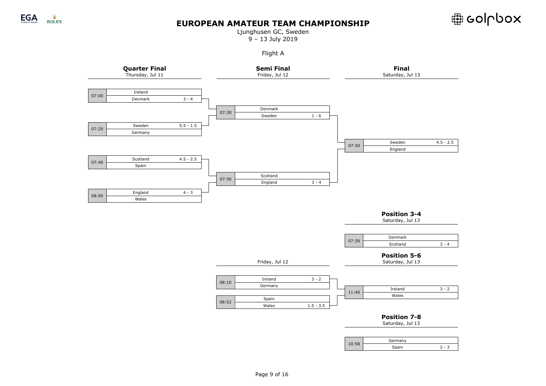



Ljunghusen GC, Sweden 9 – 13 July 2019

Flight A

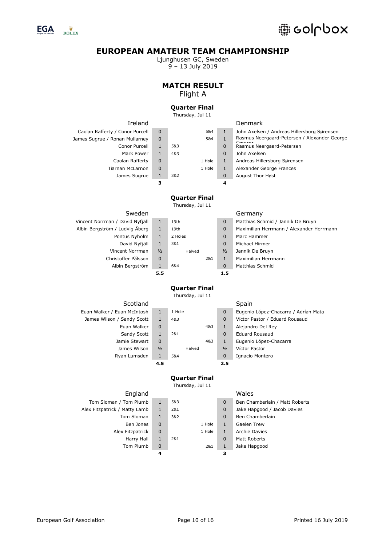

Ljunghusen GC, Sweden 9 – 13 July 2019

### **MATCH RESULT** Flight A

### **Quarter Final**

Thursday, Jul 11

| Ireland                         |          |  |  |  |  |
|---------------------------------|----------|--|--|--|--|
| Caolan Rafferty / Conor Purcell | 0        |  |  |  |  |
| James Sugrue / Ronan Mullarney  |          |  |  |  |  |
| Conor Purcell                   | 1        |  |  |  |  |
| Mark Power                      |          |  |  |  |  |
| Caolan Rafferty                 |          |  |  |  |  |
| Tiarnan McLarnon                | $\Omega$ |  |  |  |  |
| James Sugrue                    | 1        |  |  |  |  |
|                                 |          |  |  |  |  |

| Ireland        |              |     |        |              | <b>Denmark</b>          |
|----------------|--------------|-----|--------|--------------|-------------------------|
| Conor Purcell  | $\Omega$     |     | 5&4    | 1            | John Axelsen / Ar       |
| nan Mullarney  | $\mathbf 0$  |     | 5&4    | $\mathbf{1}$ | Rasmus Neergaa          |
| Conor Purcell  | 1            | 5&3 |        | $\mathbf 0$  | Rasmus Neergaa          |
| Mark Power     | $\mathbf{1}$ | 4&3 |        | $\Omega$     | John Axelsen            |
| aolan Rafferty | $\mathbf{0}$ |     | 1 Hole | $\mathbf{1}$ | Andreas Hillersbo       |
| nan McLarnon   | $\Omega$     |     | 1 Hole | 1            | Alexander George        |
| James Sugrue   | 1            | 3&2 |        | $\mathbf 0$  | <b>August Thor Høst</b> |
|                | з            |     |        |              |                         |

| Caolan Rafferty / Conor Purcell | $\Omega$ | 5&4    |   | John Axelsen / Andreas Hillersborg Sørensen  |
|---------------------------------|----------|--------|---|----------------------------------------------|
| James Sugrue / Ronan Mullarney  | $\Omega$ | 5&4    |   | Rasmus Neergaard-Petersen / Alexander George |
| Conor Purcell                   |          | 5&3    | 0 | Rasmus Neergaard-Petersen                    |
| Mark Power                      |          | 4&3    |   | John Axelsen                                 |
| Caolan Rafferty                 | $\Omega$ | 1 Hole |   | Andreas Hillersborg Sørensen                 |
| <b>Tiarnan McLarnon</b>         | $\Omega$ | 1 Hole |   | Alexander George Frances                     |
| James Sugrue                    |          | 3&2    |   | <b>August Thor Høst</b>                      |
|                                 |          |        |   |                                              |

### **Quarter Final**

Thursday, Jul 11

#### Sweden Germany

| /incent Norrman / David Nyfjäll |
|---------------------------------|
| Albin Bergström / Ludvig Åberg  |
| Pontus Nyholm                   |
| David Nyfjäll                   |
| Vincent Norrman                 |
| Christoffer Pålsson             |
| Albin Bergström                 |
|                                 |

|                     | 5.5           |         |     | 1.5           |                      |
|---------------------|---------------|---------|-----|---------------|----------------------|
| Albin Bergström     | 1             | 6&4     |     | $\mathbf 0$   | Matthias Schmid      |
| Christoffer Pålsson | $\mathbf 0$   |         | 2&1 | $\mathbf{1}$  | Maximilian Herrmann  |
| Vincent Norrman     | $\frac{1}{2}$ | Halved  |     | $\frac{1}{2}$ | Jannik De Bruyn      |
| David Nyfjäll       | 1             | 3&1     |     | $\Omega$      | Michael Hirmer       |
| Pontus Nyholm       | 1             | 2 Holes |     | $\Omega$      | Marc Hammer          |
| öm / Ludvig Åberg   | 1             | 19th    |     | $\Omega$      | Maximilian Herrmann  |
| nan / David Nyfjäll |               | 19th    |     | 0             | Matthias Schmid / Ja |

|                                 | 5.5           |         | 1.5           |                                          |
|---------------------------------|---------------|---------|---------------|------------------------------------------|
| Albin Bergström                 | $\mathbf{1}$  | 6&4     | $\mathbf 0$   | Matthias Schmid                          |
| Christoffer Pålsson             | $\Omega$      | 2&1     | 1             | Maximilian Herrmann                      |
| Vincent Norrman                 | $\frac{1}{2}$ | Halved  | $\frac{1}{2}$ | Jannik De Bruyn                          |
| David Nyfjäll                   | $\mathbf{1}$  | 3&1     | $\mathbf 0$   | Michael Hirmer                           |
| Pontus Nyholm                   | $\mathbf{1}$  | 2 Holes | $\mathbf 0$   | Marc Hammer                              |
| Albin Bergström / Ludvig Åberg  | $\mathbf{1}$  | 19th    | $\mathbf 0$   | Maximilian Herrmann / Alexander Herrmann |
| Vincent Norrman / David Nyfjäll |               | 19th    | $\mathbf 0$   | Matthias Schmid / Jannik De Bruyn        |
|                                 |               |         |               |                                          |

#### **Quarter Final** Thursday, Jul 11

| Euan Walker / Euan McIntosh |
|-----------------------------|
| James Wilson / Sandy Scott  |
| Fuan Walker                 |
| Sandy Scott                 |
| Jamie Stewart               |
| James Wilson                |
| Ryan Lumsden                |
|                             |

| Scotland      |               |        |     |               | Spain                    |
|---------------|---------------|--------|-----|---------------|--------------------------|
| Euan McIntosh | $\mathbf{1}$  | 1 Hole |     | $\Omega$      | Eugenio López-Chacarra   |
| / Sandy Scott | 1             | 4&3    |     | $\mathbf 0$   | Víctor Pastor / Eduard R |
| Euan Walker   | $\Omega$      |        | 4&3 | $\mathbf{1}$  | Alejandro Del Rev        |
| Sandy Scott   | 1             | 281    |     | $\mathbf 0$   | <b>Eduard Rousaud</b>    |
| Jamie Stewart | $\Omega$      |        | 483 | $\mathbf{1}$  | Eugenio López-Chacarra   |
| James Wilson  | $\frac{1}{2}$ | Halved |     | $\frac{1}{2}$ | Víctor Pastor            |
| Ryan Lumsden  | $\mathbf{1}$  | 5&4    |     | $\Omega$      | Ignacio Montero          |
|               | 4.5           |        |     | 2.5           |                          |

**Quarter Final** Thursday, Jul 11

| Euan Walker / Euan McIntosh |               | 1 Hole |     | $\mathbf{0}$  | Eugenio López-Chacarra / Adrían Mata |
|-----------------------------|---------------|--------|-----|---------------|--------------------------------------|
| James Wilson / Sandy Scott  | 1             | 4&3    |     | $\mathbf{0}$  | Víctor Pastor / Eduard Rousaud       |
| Euan Walker                 | 0             |        | 4&3 | 1             | Alejandro Del Rey                    |
| Sandy Scott                 |               | 2&1    |     | $\mathbf 0$   | <b>Eduard Rousaud</b>                |
| Jamie Stewart               | $\Omega$      |        | 4&3 | 1             | Eugenio López-Chacarra               |
| James Wilson                | $\frac{1}{2}$ | Halved |     | $\frac{1}{2}$ | Víctor Pastor                        |
| Ryan Lumsden                | 1             | 5&4    |     | $\mathbf 0$   | Ignacio Montero                      |
|                             | 4.5           |        |     | 2.5           |                                      |

| England                     |   |     |        |          | Wales                |
|-----------------------------|---|-----|--------|----------|----------------------|
| Tom Sloman / Tom Plumb      | 1 | 5&3 |        | 0        | Ben Chamber          |
| ex Fitzpatrick / Matty Lamb | 1 | 2&1 |        | $\Omega$ | Jake Hapgood         |
| Tom Sloman                  | 1 | 3&2 |        | 0        | Ben Chamber          |
| Ben Jones                   | 0 |     | 1 Hole |          | Gaelen Trew          |
| Alex Fitzpatrick            | 0 |     | 1 Hole |          | <b>Archie Davies</b> |
| Harry Hall                  |   | 2&1 |        |          | Matt Roberts         |

#### Wales

| Tom Sloman / Tom Plumb        |          | 5&3    | $\Omega$ | Ben Chamberlain / Matt Roberts |
|-------------------------------|----------|--------|----------|--------------------------------|
| Alex Fitzpatrick / Matty Lamb | 1        | 2&1    | $\Omega$ | Jake Hapgood / Jacob Davies    |
| Tom Sloman                    | 1        | 3&2    | $\Omega$ | Ben Chamberlain                |
| Ben Jones                     | $\Omega$ | 1 Hole |          | Gaelen Trew                    |
| Alex Fitzpatrick              | $\Omega$ | 1 Hole |          | <b>Archie Davies</b>           |
| Harry Hall                    |          | 2&1    | $\Omega$ | Matt Roberts                   |
| Tom Plumb                     | 0        | 2&1    |          | Jake Hapgood                   |
|                               | 4        |        |          |                                |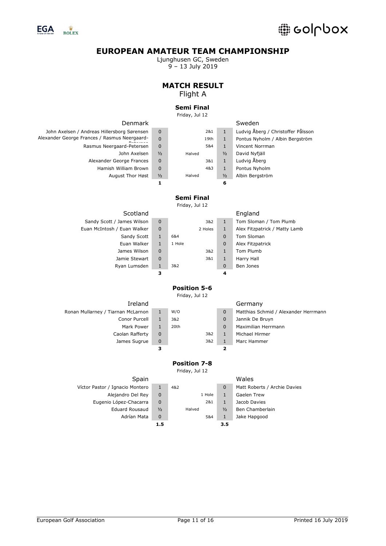

Ljunghusen GC, Sweden 9 – 13 July 2019

#### **MATCH RESULT** Flight A

#### **Semi Final**

Friday, Jul 12

| Denmark                                      |               |        |               | Sweden                             |
|----------------------------------------------|---------------|--------|---------------|------------------------------------|
| John Axelsen / Andreas Hillersborg Sørensen  | $\Omega$      | 2&1    |               | Ludvig Åberg / Christoffer Pålsson |
| Alexander George Frances / Rasmus Neergaard- | $\Omega$      | 19th   |               | Pontus Nyholm / Albin Bergström    |
| Rasmus Neergaard-Petersen                    | $\mathbf 0$   | 5&4    |               | Vincent Norrman                    |
| John Axelsen                                 | $\frac{1}{2}$ | Halved | $\frac{1}{2}$ | David Nyfjäll                      |
| Alexander George Frances                     | $\Omega$      | 3&1    |               | Ludvig Åberg                       |
| Hamish William Brown                         | $\Omega$      | 483    |               | Pontus Nyholm                      |
| August Thor Høst                             | $\frac{1}{2}$ | Halved | $\frac{1}{2}$ | Albin Bergström                    |
|                                              |               |        | 6             |                                    |

### **Semi Final**

Friday, Jul 12

| Juuanu                      |              |
|-----------------------------|--------------|
| Sandy Scott / James Wilson  | 0            |
| Euan McIntosh / Euan Walker | $\Omega$     |
| Sandy Scott                 | $\mathbf{1}$ |
| Fuan Walker                 | $\mathbf{1}$ |
| James Wilson                | $\Omega$     |
| Jamie Stewart               | $\Omega$     |
| Ryan Lumsden                | $\mathbf{1}$ |
|                             |              |

#### Scotland **England**

| ' James Wilson | 0            |        | 3&2     | 1           | Tom Sloman /     |
|----------------|--------------|--------|---------|-------------|------------------|
| / Euan Walker  | 0            |        | 2 Holes | 1           | Alex Fitzpatrick |
| Sandy Scott    | 1            | 6&4    |         | 0           | Tom Sloman       |
| Euan Walker    | $\mathbf{1}$ | 1 Hole |         | $\mathbf 0$ | Alex Fitzpatrick |
| James Wilson   | 0            |        | 3&2     | 1           | Tom Plumb        |
| Jamie Stewart  | 0            |        | 3&1     | 1           | Harry Hall       |
| Ryan Lumsden   | 1            | 3&2    |         | 0           | Ben Jones        |
|                |              |        |         |             |                  |

| Sandy Scott / James Wilson  | $\mathbf 0$ | 3&2     |              | Tom Sloman / Tom Plumb        |
|-----------------------------|-------------|---------|--------------|-------------------------------|
| Euan McIntosh / Euan Walker | $\mathbf 0$ | 2 Holes | 1            | Alex Fitzpatrick / Matty Lamb |
| Sandy Scott                 |             | 6&4     | $\mathbf 0$  | Tom Sloman                    |
| Euan Walker                 | 1           | 1 Hole  | $\mathbf 0$  | Alex Fitzpatrick              |
| James Wilson                | 0           | 3&2     | $\mathbf{1}$ | Tom Plumb                     |
| Jamie Stewart               | $\mathbf 0$ | 3&1     | 1            | Harry Hall                    |
| Ryan Lumsden                | 1           | 3&2     | $\mathbf 0$  | Ben Jones                     |
|                             |             |         |              |                               |

## **Position 5-6**

Friday, Jul 12

#### Ireland Germany

|                                    |   |      |     |   | --------                             |
|------------------------------------|---|------|-----|---|--------------------------------------|
| Ronan Mullarney / Tiarnan McLarnon |   | W/O  |     | 0 | Matthias Schmid / Alexander Herrmann |
| Conor Purcell                      |   | 3&2  |     |   | Jannik De Bruyn                      |
| Mark Power                         |   | 20th |     |   | Maximilian Herrmann                  |
| Caolan Rafferty                    | 0 |      | 3&2 |   | Michael Hirmer                       |
| James Sugrue                       | 0 |      | 3&2 |   | Marc Hammer                          |
|                                    |   |      |     |   |                                      |
|                                    |   |      |     |   |                                      |

## **Position 7-8**

Friday, Jul 12

| Spain                           |               |        |               | Wales                        |
|---------------------------------|---------------|--------|---------------|------------------------------|
| Víctor Pastor / Ignacio Montero | ı             | 4&2    | $\Omega$      | Matt Roberts / Archie Davies |
| Alejandro Del Rey               | 0             | 1 Hole |               | Gaelen Trew                  |
| Eugenio López-Chacarra          | 0             | 2&1    |               | Jacob Davies                 |
| <b>Eduard Rousaud</b>           | $\frac{1}{2}$ | Halved | $\frac{1}{2}$ | Ben Chamberlain              |
| Adrían Mata                     | 0             | 5&4    |               | Jake Hapgood                 |
|                                 | 1.5           |        | 3.5           |                              |
|                                 |               |        |               |                              |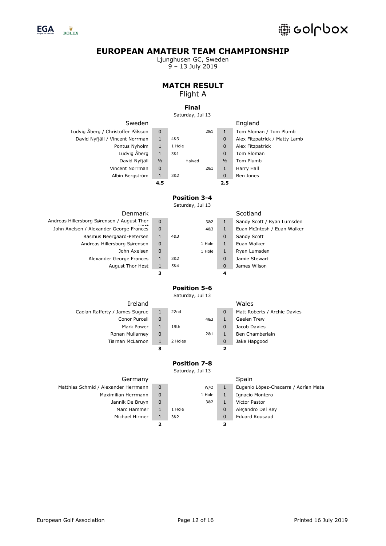

Ljunghusen GC, Sweden 9 – 13 July 2019

### **MATCH RESULT** Flight A

## **Final**

Saturday, Jul 13

Ludvig Åberg / Christoffer Pålsson 0 1 2&1 1 Tom Sloman / Tom Plumb David Nyfjäll / Vincent Norrman 1 4&3 0 Alex Fitzpatrick / Matty Lamb

| Sweden             |               |        |     |               | England          |
|--------------------|---------------|--------|-----|---------------|------------------|
| hristoffer Pålsson | $\Omega$      |        | 281 | 1             | Tom Sloman / 1   |
| Vincent Norrman    | $\mathbf{1}$  | 483    |     | $\Omega$      | Alex Fitzpatrick |
| Pontus Nyholm      | $\mathbf{1}$  | 1 Hole |     | $\Omega$      | Alex Fitzpatrick |
| Ludvig Åberg       | $\mathbf{1}$  | 3&1    |     | $\Omega$      | Tom Sloman       |
| David Nyfjäll      | $\frac{1}{2}$ | Halved |     | $\frac{1}{2}$ | Tom Plumb        |
| Vincent Norrman    | $\Omega$      |        | 281 | $\mathbf{1}$  | Harry Hall       |
| Albin Bergström    | 1             | 3&2    |     | 0             | Ben Jones        |
|                    | 4.5           |        |     | 2.5           |                  |
|                    |               |        |     |               |                  |

## **Position 3-4**

Saturday, Jul 13

| Denmark                                    |
|--------------------------------------------|
| Andreas Hillersborg Sørensen / August Thor |
| John Axelsen / Alexander George Frances    |
| Rasmus Neergaard-Petersen                  |
| Andreas Hillersborg Sørensen               |
| John Axelsen                               |
| Alexander George Frances                   |
| <b>August Thor Høst</b>                    |
|                                            |

#### Denmark Scotland 0 3&2 1 Sandy Scott / Ryan Lumsden 0 1 4&3 1 Euan McIntosh / Euan Walker 1 4&3 0 Sandy Scott 0 1 Hole 1 Euan Walker 0 1 Hole 1 Ryan Lumsden 1 3&2 0 Jamie Stewart 1 5&4 0 James Wilson **3 4**

## **Position 5-6**

Saturday, Jul 13

| Ireland                        |          |         |     |   | Wales                        |
|--------------------------------|----------|---------|-----|---|------------------------------|
| Caolan Rafferty / James Sugrue |          | 22nd    |     |   | Matt Roberts / Archie Davies |
| Conor Purcell                  | $\Omega$ |         | 4&3 |   | Gaelen Trew                  |
| Mark Power                     |          | 19th    |     | 0 | Jacob Davies                 |
| Ronan Mullarney                | 0        |         | 2&1 |   | Ben Chamberlain              |
| <b>Tiarnan McLarnon</b>        |          | 2 Holes |     |   | Jake Hapgood                 |

## **Position 7-8**

**3 2**

Saturday, Jul 13

| Germany                              |             |        |              | Spain                                |
|--------------------------------------|-------------|--------|--------------|--------------------------------------|
| Matthias Schmid / Alexander Herrmann | 0           | W/O    | 1            | Eugenio López-Chacarra / Adrían Mata |
| Maximilian Herrmann                  | $\mathbf 0$ | 1 Hole |              | Ignacio Montero                      |
| Jannik De Bruyn                      | $\mathbf 0$ | 3&2    |              | Víctor Pastor                        |
| Marc Hammer                          |             | 1 Hole | $\mathbf{0}$ | Alejandro Del Rey                    |
| Michael Hirmer                       |             | 3&2    | $\mathbf{0}$ | <b>Eduard Rousaud</b>                |
|                                      |             |        | з            |                                      |
|                                      |             |        |              |                                      |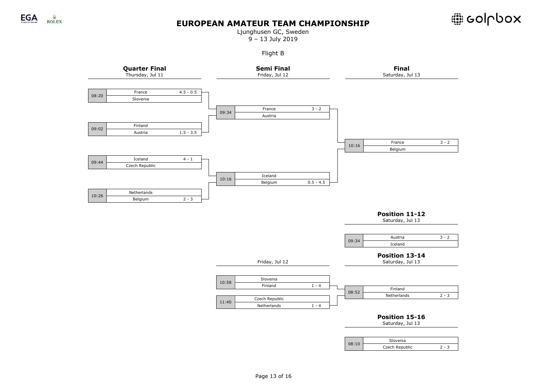



Ljunghusen GC, Sweden 9 – 13 July 2019

Flight B

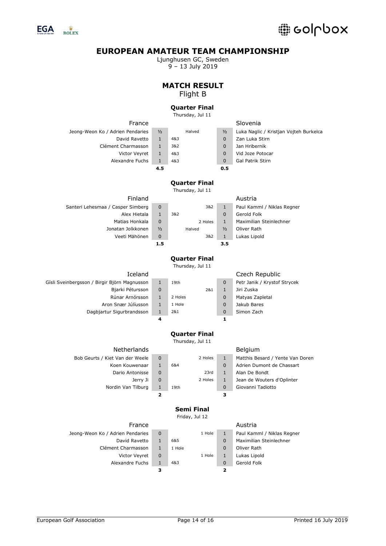

Ljunghusen GC, Sweden 9 – 13 July 2019

## **MATCH RESULT** Flight B

### **Quarter Final**

Thursday, Jul 11

France Slovenia Jeong-Weon Ko / Adrien Pendaries ½ Halved ½ Luka Naglic / Kristjan Vojteh Burkelca David Ravetto 1 4&3 0 Zan Luka Stirn Clément Charmasson 1 3&2 0 Jan Hribernik Victor Veyret 1 4&3 0 Vid Joze Potocar Alexandre Fuchs 1 4&3 0 Gal Patrik Stirn **4.5 0.5 Quarter Final** Thursday, Jul 11 Finland **Austria** Santeri Lehesmaa / Casper Simberg | 0 1 382 1 Paul Kamml / Niklas Regner Alex Hietala 1 3&2 0 Gerold Folk Matias Honkala 0 2 Holes 1 Maximilian Steinlechner Jonatan Jolkkonen ½ Halved ½ Oliver Rath Veeti Mähönen 0 3&2 1 Lukas Lipold **1.5 3.5 Quarter Final** Thursday, Jul 11 Iceland Czech Republic

| Gísli Sveinbergsson / Birgir Björn Magnusson |
|----------------------------------------------|
| Bjarki Pétursson                             |
| Rúnar Arnórsson                              |
| Aron Snær Júlíusson                          |
| Dagbjartur Sigurbrandsson                    |
|                                              |

|              |         |     |          | Czech Republic               |
|--------------|---------|-----|----------|------------------------------|
| $\mathbf{1}$ | 19th    |     | $\Omega$ | Petr Janik / Krystof Strycek |
| $\Omega$     |         | 2&1 | 1        | Jiri Zuska                   |
| $\mathbf{1}$ | 2 Holes |     | $\Omega$ | Matyas Zapletal              |
| $\mathbf{1}$ | 1 Hole  |     | $\Omega$ | Jakub Bares                  |
| $\mathbf{1}$ | 2&1     |     | 0        | Simon Zach                   |
| 4            |         |     |          |                              |

### **Quarter Final**

Thursday, Jul 11

| Netherlands            |  |
|------------------------|--|
| s / Kiet Van der Weele |  |
| Koen Kouwenaar         |  |
| Dario Antonisse        |  |
| Jerry Ji               |  |
|                        |  |

| <b>Netherlands</b> |   |      |         |    | <b>Belgium</b>     |
|--------------------|---|------|---------|----|--------------------|
| Kiet Van der Weele | 0 |      | 2 Holes | 1. | Matthis Besard / Y |
| Koen Kouwenaar     |   | 6&4  |         | 0  | Adrien Dumont de   |
| Dario Antonisse    | 0 |      | 23rd    | 1  | Alan De Bondt      |
| Jerry Ji           | 0 |      | 2 Holes | 1  | Jean de Wouters o  |
| Nordin Van Tilburg | 1 | 19th |         | 0  | Giovanni Tadiotto  |
|                    |   |      |         |    |                    |

## **Semi Final**

Friday, Jul 12

| France                           |   |        |        |   | Austria                    |
|----------------------------------|---|--------|--------|---|----------------------------|
| Jeong-Weon Ko / Adrien Pendaries | 0 |        | 1 Hole |   | Paul Kamml / Niklas Regner |
| David Ravetto                    |   | 6&5    |        | 0 | Maximilian Steinlechner    |
| Clément Charmasson               |   | 1 Hole |        | 0 | Oliver Rath                |
| Victor Veyret                    | 0 |        | 1 Hole |   | Lukas Lipold               |
| Alexandre Fuchs                  |   | 4&3    |        | 0 | Gerold Folk                |
|                                  | 3 |        |        | 7 |                            |

#### Belgium

Bob Geurts / Kiet Van der Weele 0 2 Holes 1 Matthis Besard / Yente Van Doren 1 6&4 0 Adrien Dumont de Chassart 0 2 Holes 1 Jean de Wouters d'Oplinter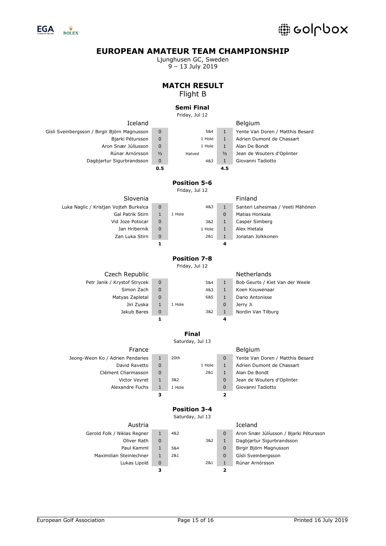

Ljunghusen GC, Sweden 9 – 13 July 2019

### **MATCH RESULT** Flight B

#### **Semi Final**

Friday, Jul 12

| Iceland                                      |                                                                    |                                       |                              | Belgium                                           |
|----------------------------------------------|--------------------------------------------------------------------|---------------------------------------|------------------------------|---------------------------------------------------|
| Gísli Sveinbergsson / Birgir Björn Magnusson | 0                                                                  | 5&4                                   | $\mathbf{1}$                 | Yente Van Doren / Matthis Besard                  |
| Bjarki Pétursson                             | $\mathbf 0$<br>$\mathbf{1}$<br>Adrien Dumont de Chassart<br>1 Hole |                                       |                              |                                                   |
| Aron Snær Júlíusson                          | 0                                                                  | 1 Hole                                | $\mathbf{1}$                 | Alan De Bondt                                     |
| Rúnar Arnórsson                              | 1/2                                                                | Halved                                | 1/2                          | Jean de Wouters d'Oplinter                        |
| Dagbjartur Sigurbrandsson                    | $\overline{0}$                                                     | 483                                   | $\mathbf{1}$                 | Giovanni Tadiotto                                 |
|                                              | 0.5                                                                |                                       | 4.5                          |                                                   |
|                                              |                                                                    | <b>Position 5-6</b>                   |                              |                                                   |
|                                              |                                                                    | Friday, Jul 12                        |                              |                                                   |
| Slovenia                                     |                                                                    |                                       |                              | Finland                                           |
| Luka Naglic / Kristjan Vojteh Burkelca       | 0                                                                  | 483                                   | $\mathbf{1}$                 | Santeri Lehesmaa / Veeti Mähönen                  |
| <b>Gal Patrik Stirn</b>                      | $\mathbf{1}$                                                       | 1 Hole                                | 0                            | Matias Honkala                                    |
| Vid Joze Potocar                             | 0                                                                  | 3&2                                   | $\mathbf{1}$                 | Casper Simberg                                    |
| Jan Hribernik                                | 0                                                                  | 1 Hole                                | $\mathbf{1}$                 | Alex Hietala                                      |
| Zan Luka Stirn                               | $\pmb{0}$                                                          | 2&1                                   | $\mathbf{1}$                 | Jonatan Jolkkonen                                 |
|                                              | 1                                                                  |                                       | 4                            |                                                   |
|                                              |                                                                    |                                       |                              |                                                   |
|                                              |                                                                    | <b>Position 7-8</b><br>Friday, Jul 12 |                              |                                                   |
|                                              |                                                                    |                                       |                              | Netherlands                                       |
| Czech Republic                               |                                                                    |                                       |                              |                                                   |
| Petr Janik / Krystof Strycek<br>Simon Zach   | 0<br>$\pmb{0}$                                                     | 5&4<br>483                            | $\mathbf{1}$<br>$\mathbf{1}$ | Bob Geurts / Kiet Van der Weele<br>Koen Kouwenaar |
| Matyas Zapletal                              | 0                                                                  | 6&5                                   | $\mathbf{1}$                 | Dario Antonisse                                   |
| Jiri Zuska                                   | $\mathbf{1}$                                                       | 1 Hole                                | 0                            | Jerry Ji                                          |
| Jakub Bares                                  | $\mathbf 0$                                                        | 3&2                                   | $\mathbf{1}$                 | Nordin Van Tilburg                                |
|                                              | 1                                                                  |                                       | 4                            |                                                   |
|                                              |                                                                    |                                       |                              |                                                   |
|                                              |                                                                    | <b>Final</b>                          |                              |                                                   |
|                                              |                                                                    | Saturday, Jul 13                      |                              |                                                   |
| France                                       |                                                                    |                                       |                              | Belgium                                           |
| Jeong-Weon Ko / Adrien Pendaries             | $\mathbf{1}$                                                       | 20th                                  | 0                            | Yente Van Doren / Matthis Besard                  |
| David Ravetto                                | 0                                                                  | 1 Hole                                | $\mathbf{1}$                 | Adrien Dumont de Chassart                         |
| Clément Charmasson                           | 0                                                                  | 2&1                                   | $\mathbf{1}$                 | Alan De Bondt                                     |
| Victor Veyret                                | $\mathbf{1}$                                                       | 3&2                                   | 0                            | Jean de Wouters d'Oplinter                        |
| Alexandre Fuchs                              | $\mathbf 1$<br>3                                                   | 1 Hole                                | 0<br>$\overline{\mathbf{2}}$ | Giovanni Tadiotto                                 |
|                                              |                                                                    |                                       |                              |                                                   |
|                                              |                                                                    | <b>Position 3-4</b>                   |                              |                                                   |
|                                              |                                                                    | Saturdav, Jul 13                      |                              |                                                   |

| Austria                     |             |     |     |          | Iceland             |
|-----------------------------|-------------|-----|-----|----------|---------------------|
| Gerold Folk / Niklas Regner |             | 482 |     | $\Omega$ | Aron Snær Júlíusso  |
| Oliver Rath                 | $\Omega$    |     | 3&2 |          | Dagbjartur Sigurbra |
| Paul Kamml                  |             | 5&4 |     | $\Omega$ | Birgir Björn Magnus |
| Maximilian Steinlechner     | 1           | 281 |     | $\Omega$ | Gísli Sveinbergsson |
| Lukas Lipold                | $\mathbf 0$ |     | 2&1 |          | Rúnar Arnórsson     |
|                             | 3           |     |     |          |                     |

Saturday, Jul 13

|     | Tceland                                |
|-----|----------------------------------------|
| 4&2 | Aron Snær Júlíusson / Bjarki Pétursson |

| iklas Regner | 48.Z |     | Aron Shær Juliusson / Bjarki Peturss |
|--------------|------|-----|--------------------------------------|
| Oliver Rath  |      | 3&2 | Dagbjartur Sigurbrandsson            |
| Paul Kamml   | 5&4  |     | Birgir Björn Magnusson               |
| Steinlechner | 2&1  |     | Gísli Sveinbergsson                  |
| Lukas Lipold |      | 2&1 | Rúnar Arnórsson                      |